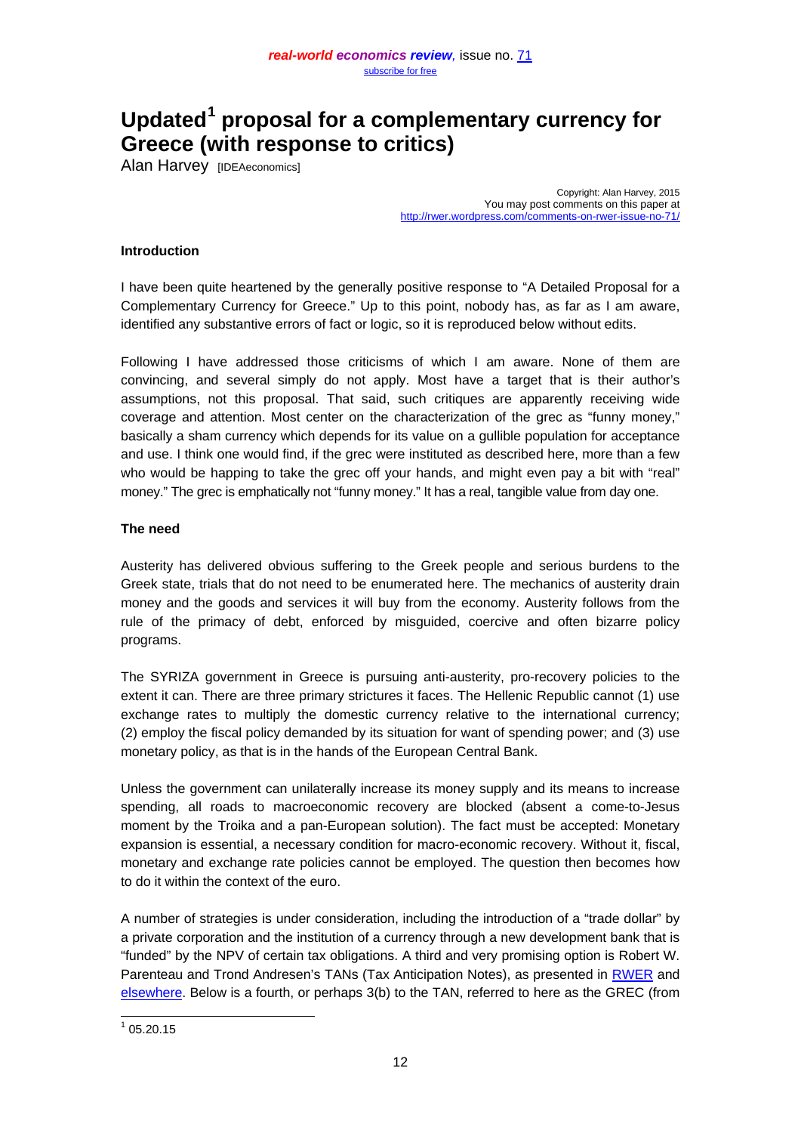# **Updated[1](#page-0-0) proposal for a complementary currency for Greece (with response to critics)**

Alan Harvey [IDEAeconomics]

Copyright: Alan Harvey, 2015 You may post comments on this paper at <http://rwer.wordpress.com/comments-on-rwer-issue-no-71/>

## **Introduction**

I have been quite heartened by the generally positive response to "A Detailed Proposal for a Complementary Currency for Greece." Up to this point, nobody has, as far as I am aware, identified any substantive errors of fact or logic, so it is reproduced below without edits.

Following I have addressed those criticisms of which I am aware. None of them are convincing, and several simply do not apply. Most have a target that is their author's assumptions, not this proposal. That said, such critiques are apparently receiving wide coverage and attention. Most center on the characterization of the grec as "funny money," basically a sham currency which depends for its value on a gullible population for acceptance and use. I think one would find, if the grec were instituted as described here, more than a few who would be happing to take the grec off your hands, and might even pay a bit with "real" money." The grec is emphatically not "funny money." It has a real, tangible value from day one.

### **The need**

Austerity has delivered obvious suffering to the Greek people and serious burdens to the Greek state, trials that do not need to be enumerated here. The mechanics of austerity drain money and the goods and services it will buy from the economy. Austerity follows from the rule of the primacy of debt, enforced by misguided, coercive and often bizarre policy programs.

The SYRIZA government in Greece is pursuing anti-austerity, pro-recovery policies to the extent it can. There are three primary strictures it faces. The Hellenic Republic cannot (1) use exchange rates to multiply the domestic currency relative to the international currency; (2) employ the fiscal policy demanded by its situation for want of spending power; and (3) use monetary policy, as that is in the hands of the European Central Bank.

Unless the government can unilaterally increase its money supply and its means to increase spending, all roads to macroeconomic recovery are blocked (absent a come-to-Jesus moment by the Troika and a pan-European solution). The fact must be accepted: Monetary expansion is essential, a necessary condition for macro-economic recovery. Without it, fiscal, monetary and exchange rate policies cannot be employed. The question then becomes how to do it within the context of the euro.

A number of strategies is under consideration, including the introduction of a "trade dollar" by a private corporation and the institution of a currency through a new development bank that is "funded" by the NPV of certain tax obligations. A third and very promising option is Robert W. Parenteau and Trond Andresen's TANs (Tax Anticipation Notes), as presented in [RWER](https://rwer.wordpress.com/2015/03/28/a-detailed-program-proposal-for-creating-a-parallel-currency-in-greece/) and [elsewhere.](http://www.nakedcapitalism.com/2015/02/robert-parenteau-get-tan-yanis-timely-alternative-financing-instrument-greece.html) Below is a fourth, or perhaps 3(b) to the TAN, referred to here as the GREC (from

<span id="page-0-0"></span> $105.20.15$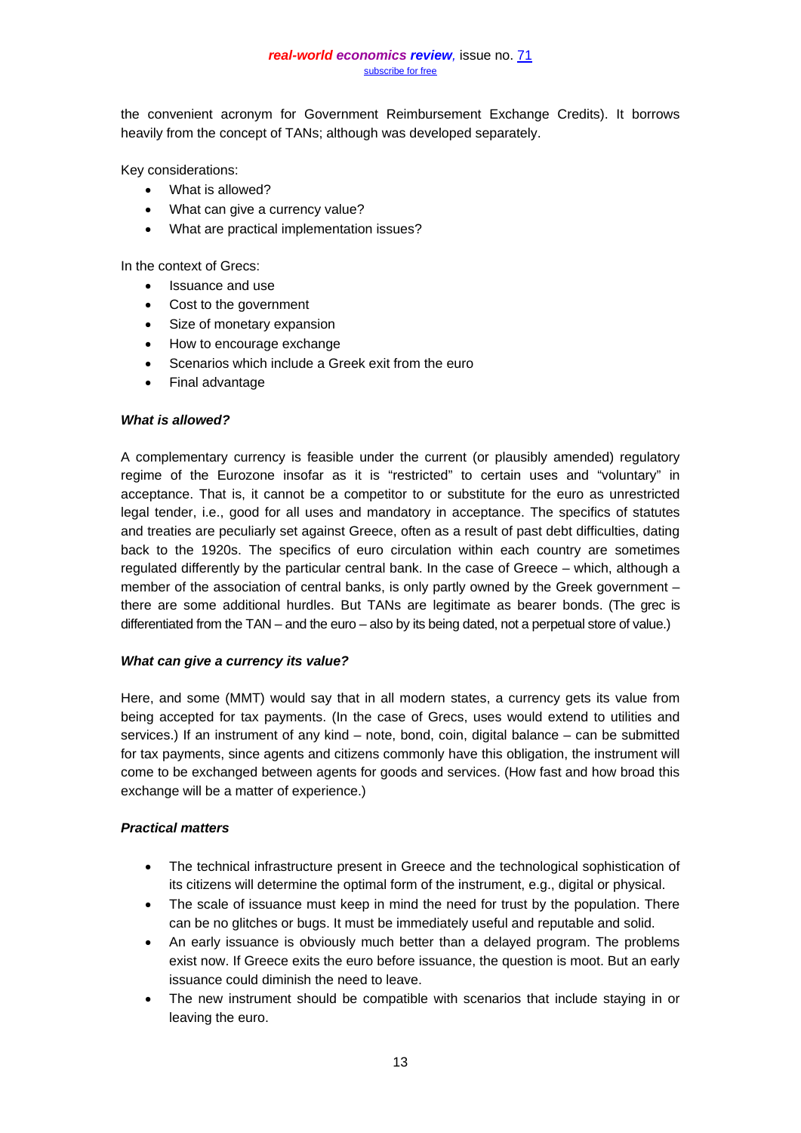the convenient acronym for Government Reimbursement Exchange Credits). It borrows heavily from the concept of TANs; although was developed separately.

Key considerations:

- What is allowed?
- What can give a currency value?
- What are practical implementation issues?

In the context of Grecs:

- Issuance and use
- Cost to the government
- Size of monetary expansion
- How to encourage exchange
- Scenarios which include a Greek exit from the euro
- Final advantage

### *What is allowed?*

A complementary currency is feasible under the current (or plausibly amended) regulatory regime of the Eurozone insofar as it is "restricted" to certain uses and "voluntary" in acceptance. That is, it cannot be a competitor to or substitute for the euro as unrestricted legal tender, i.e., good for all uses and mandatory in acceptance. The specifics of statutes and treaties are peculiarly set against Greece, often as a result of past debt difficulties, dating back to the 1920s. The specifics of euro circulation within each country are sometimes regulated differently by the particular central bank. In the case of Greece – which, although a member of the association of central banks, is only partly owned by the Greek government – there are some additional hurdles. But TANs are legitimate as bearer bonds. (The grec is differentiated from the TAN – and the euro – also by its being dated, not a perpetual store of value.)

## *What can give a currency its value?*

Here, and some (MMT) would say that in all modern states, a currency gets its value from being accepted for tax payments. (In the case of Grecs, uses would extend to utilities and services.) If an instrument of any kind – note, bond, coin, digital balance – can be submitted for tax payments, since agents and citizens commonly have this obligation, the instrument will come to be exchanged between agents for goods and services. (How fast and how broad this exchange will be a matter of experience.)

## *Practical matters*

- The technical infrastructure present in Greece and the technological sophistication of its citizens will determine the optimal form of the instrument, e.g., digital or physical.
- The scale of issuance must keep in mind the need for trust by the population. There can be no glitches or bugs. It must be immediately useful and reputable and solid.
- An early issuance is obviously much better than a delayed program. The problems exist now. If Greece exits the euro before issuance, the question is moot. But an early issuance could diminish the need to leave.
- The new instrument should be compatible with scenarios that include staying in or leaving the euro.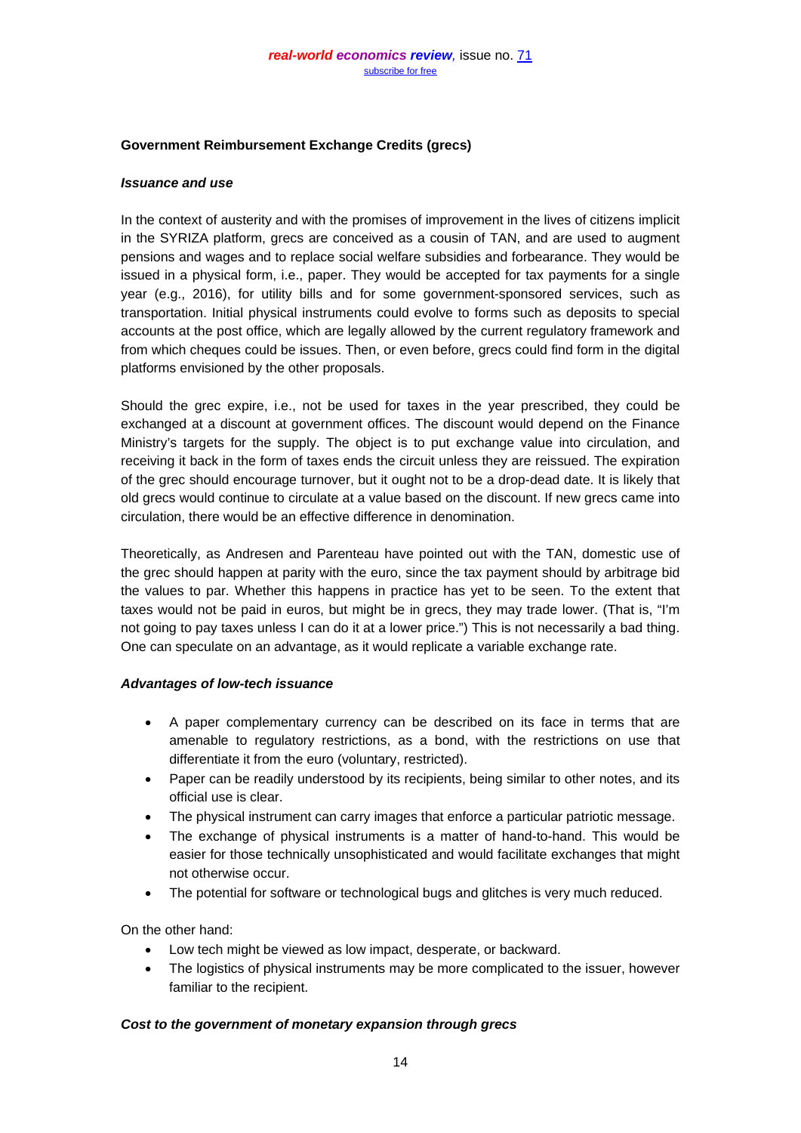## **Government Reimbursement Exchange Credits (grecs)**

### *Issuance and use*

In the context of austerity and with the promises of improvement in the lives of citizens implicit in the SYRIZA platform, grecs are conceived as a cousin of TAN, and are used to augment pensions and wages and to replace social welfare subsidies and forbearance. They would be issued in a physical form, i.e., paper. They would be accepted for tax payments for a single year (e.g., 2016), for utility bills and for some government-sponsored services, such as transportation. Initial physical instruments could evolve to forms such as deposits to special accounts at the post office, which are legally allowed by the current regulatory framework and from which cheques could be issues. Then, or even before, grecs could find form in the digital platforms envisioned by the other proposals.

Should the grec expire, i.e., not be used for taxes in the year prescribed, they could be exchanged at a discount at government offices. The discount would depend on the Finance Ministry's targets for the supply. The object is to put exchange value into circulation, and receiving it back in the form of taxes ends the circuit unless they are reissued. The expiration of the grec should encourage turnover, but it ought not to be a drop-dead date. It is likely that old grecs would continue to circulate at a value based on the discount. If new grecs came into circulation, there would be an effective difference in denomination.

Theoretically, as Andresen and Parenteau have pointed out with the TAN, domestic use of the grec should happen at parity with the euro, since the tax payment should by arbitrage bid the values to par. Whether this happens in practice has yet to be seen. To the extent that taxes would not be paid in euros, but might be in grecs, they may trade lower. (That is, "I'm not going to pay taxes unless I can do it at a lower price.") This is not necessarily a bad thing. One can speculate on an advantage, as it would replicate a variable exchange rate.

## *Advantages of low-tech issuance*

- A paper complementary currency can be described on its face in terms that are amenable to regulatory restrictions, as a bond, with the restrictions on use that differentiate it from the euro (voluntary, restricted).
- Paper can be readily understood by its recipients, being similar to other notes, and its official use is clear.
- The physical instrument can carry images that enforce a particular patriotic message.
- The exchange of physical instruments is a matter of hand-to-hand. This would be easier for those technically unsophisticated and would facilitate exchanges that might not otherwise occur.
- The potential for software or technological bugs and glitches is very much reduced.

On the other hand:

- Low tech might be viewed as low impact, desperate, or backward.
- The logistics of physical instruments may be more complicated to the issuer, however familiar to the recipient.

## *Cost to the government of monetary expansion through grecs*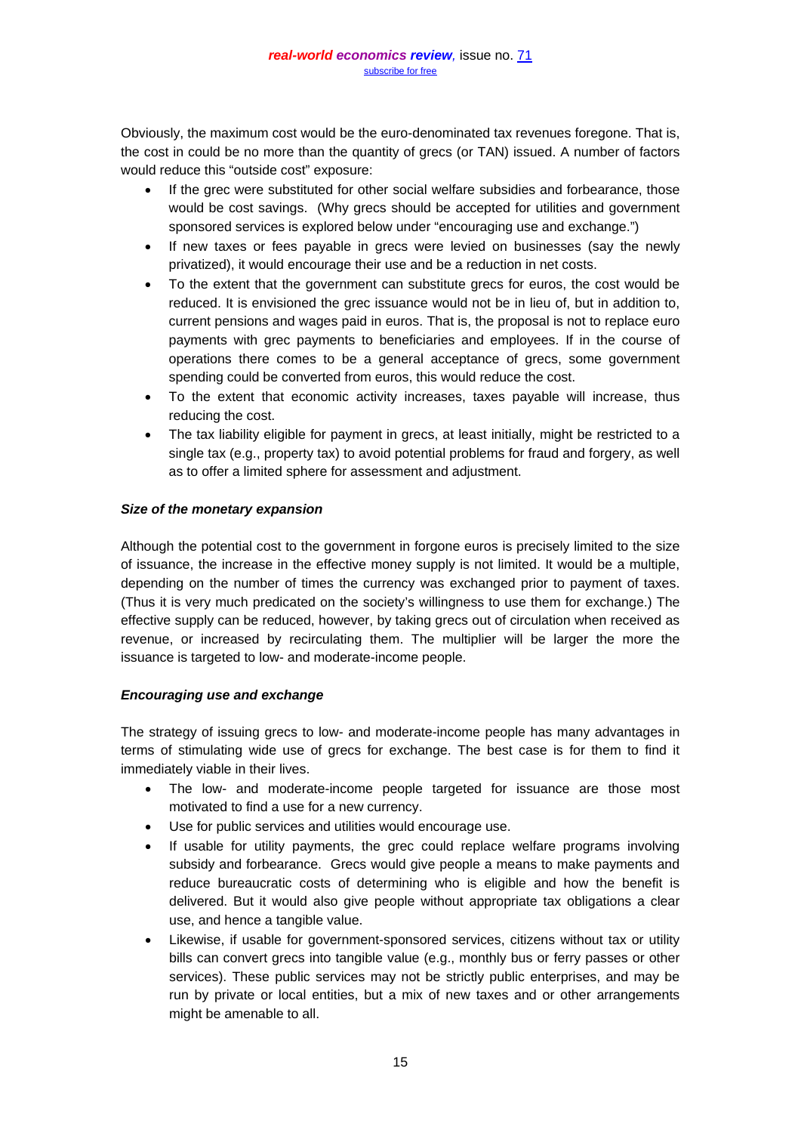Obviously, the maximum cost would be the euro-denominated tax revenues foregone. That is, the cost in could be no more than the quantity of grecs (or TAN) issued. A number of factors would reduce this "outside cost" exposure:

- If the grec were substituted for other social welfare subsidies and forbearance, those would be cost savings. (Why grecs should be accepted for utilities and government sponsored services is explored below under "encouraging use and exchange.")
- If new taxes or fees payable in grecs were levied on businesses (say the newly privatized), it would encourage their use and be a reduction in net costs.
- To the extent that the government can substitute grecs for euros, the cost would be reduced. It is envisioned the grec issuance would not be in lieu of, but in addition to, current pensions and wages paid in euros. That is, the proposal is not to replace euro payments with grec payments to beneficiaries and employees. If in the course of operations there comes to be a general acceptance of grecs, some government spending could be converted from euros, this would reduce the cost.
- To the extent that economic activity increases, taxes payable will increase, thus reducing the cost.
- The tax liability eligible for payment in grecs, at least initially, might be restricted to a single tax (e.g., property tax) to avoid potential problems for fraud and forgery, as well as to offer a limited sphere for assessment and adjustment.

## *Size of the monetary expansion*

Although the potential cost to the government in forgone euros is precisely limited to the size of issuance, the increase in the effective money supply is not limited. It would be a multiple, depending on the number of times the currency was exchanged prior to payment of taxes. (Thus it is very much predicated on the society's willingness to use them for exchange.) The effective supply can be reduced, however, by taking grecs out of circulation when received as revenue, or increased by recirculating them. The multiplier will be larger the more the issuance is targeted to low- and moderate-income people.

## *Encouraging use and exchange*

The strategy of issuing grecs to low- and moderate-income people has many advantages in terms of stimulating wide use of grecs for exchange. The best case is for them to find it immediately viable in their lives.

- The low- and moderate-income people targeted for issuance are those most motivated to find a use for a new currency.
- Use for public services and utilities would encourage use.
- If usable for utility payments, the grec could replace welfare programs involving subsidy and forbearance. Grecs would give people a means to make payments and reduce bureaucratic costs of determining who is eligible and how the benefit is delivered. But it would also give people without appropriate tax obligations a clear use, and hence a tangible value.
- Likewise, if usable for government-sponsored services, citizens without tax or utility bills can convert grecs into tangible value (e.g., monthly bus or ferry passes or other services). These public services may not be strictly public enterprises, and may be run by private or local entities, but a mix of new taxes and or other arrangements might be amenable to all.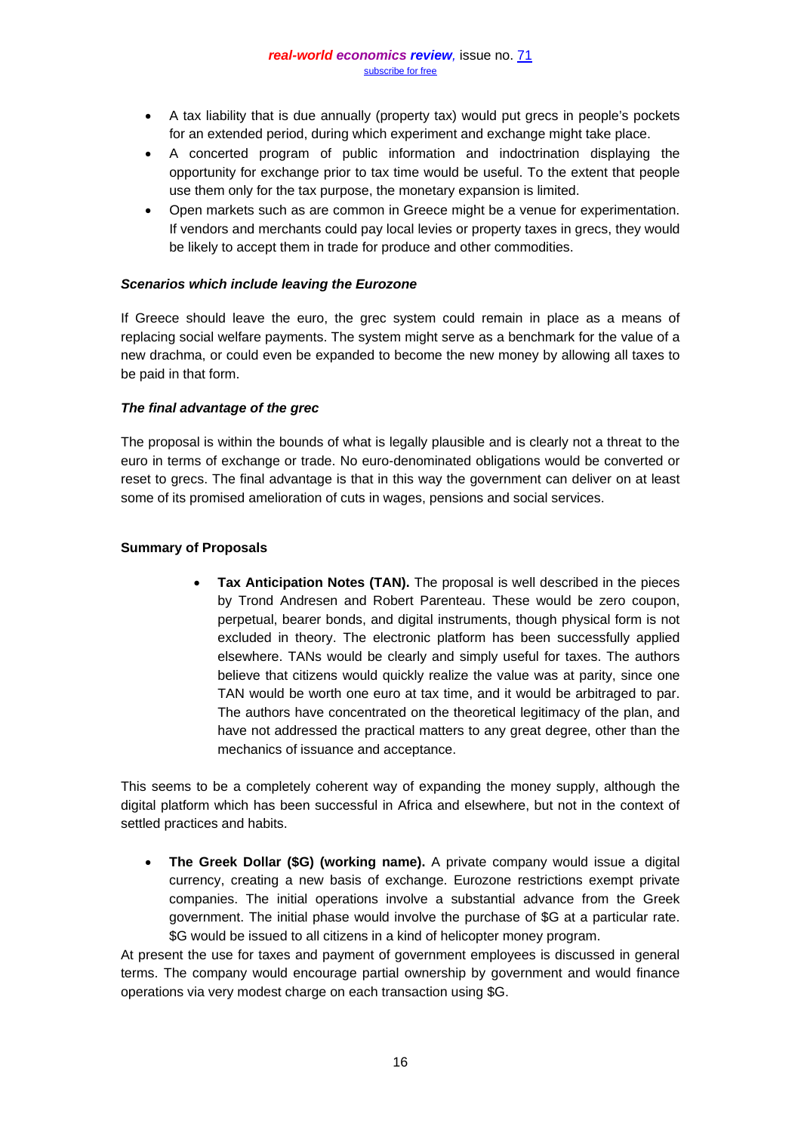- A tax liability that is due annually (property tax) would put grecs in people's pockets for an extended period, during which experiment and exchange might take place.
- A concerted program of public information and indoctrination displaying the opportunity for exchange prior to tax time would be useful. To the extent that people use them only for the tax purpose, the monetary expansion is limited.
- Open markets such as are common in Greece might be a venue for experimentation. If vendors and merchants could pay local levies or property taxes in grecs, they would be likely to accept them in trade for produce and other commodities.

### *Scenarios which include leaving the Eurozone*

If Greece should leave the euro, the grec system could remain in place as a means of replacing social welfare payments. The system might serve as a benchmark for the value of a new drachma, or could even be expanded to become the new money by allowing all taxes to be paid in that form.

### *The final advantage of the grec*

The proposal is within the bounds of what is legally plausible and is clearly not a threat to the euro in terms of exchange or trade. No euro-denominated obligations would be converted or reset to grecs. The final advantage is that in this way the government can deliver on at least some of its promised amelioration of cuts in wages, pensions and social services.

## **Summary of Proposals**

• **Tax Anticipation Notes (TAN).** The proposal is well described in the pieces by Trond Andresen and Robert Parenteau. These would be zero coupon, perpetual, bearer bonds, and digital instruments, though physical form is not excluded in theory. The electronic platform has been successfully applied elsewhere. TANs would be clearly and simply useful for taxes. The authors believe that citizens would quickly realize the value was at parity, since one TAN would be worth one euro at tax time, and it would be arbitraged to par. The authors have concentrated on the theoretical legitimacy of the plan, and have not addressed the practical matters to any great degree, other than the mechanics of issuance and acceptance.

This seems to be a completely coherent way of expanding the money supply, although the digital platform which has been successful in Africa and elsewhere, but not in the context of settled practices and habits.

• **The Greek Dollar (\$G) (working name).** A private company would issue a digital currency, creating a new basis of exchange. Eurozone restrictions exempt private companies. The initial operations involve a substantial advance from the Greek government. The initial phase would involve the purchase of \$G at a particular rate. \$G would be issued to all citizens in a kind of helicopter money program.

At present the use for taxes and payment of government employees is discussed in general terms. The company would encourage partial ownership by government and would finance operations via very modest charge on each transaction using \$G.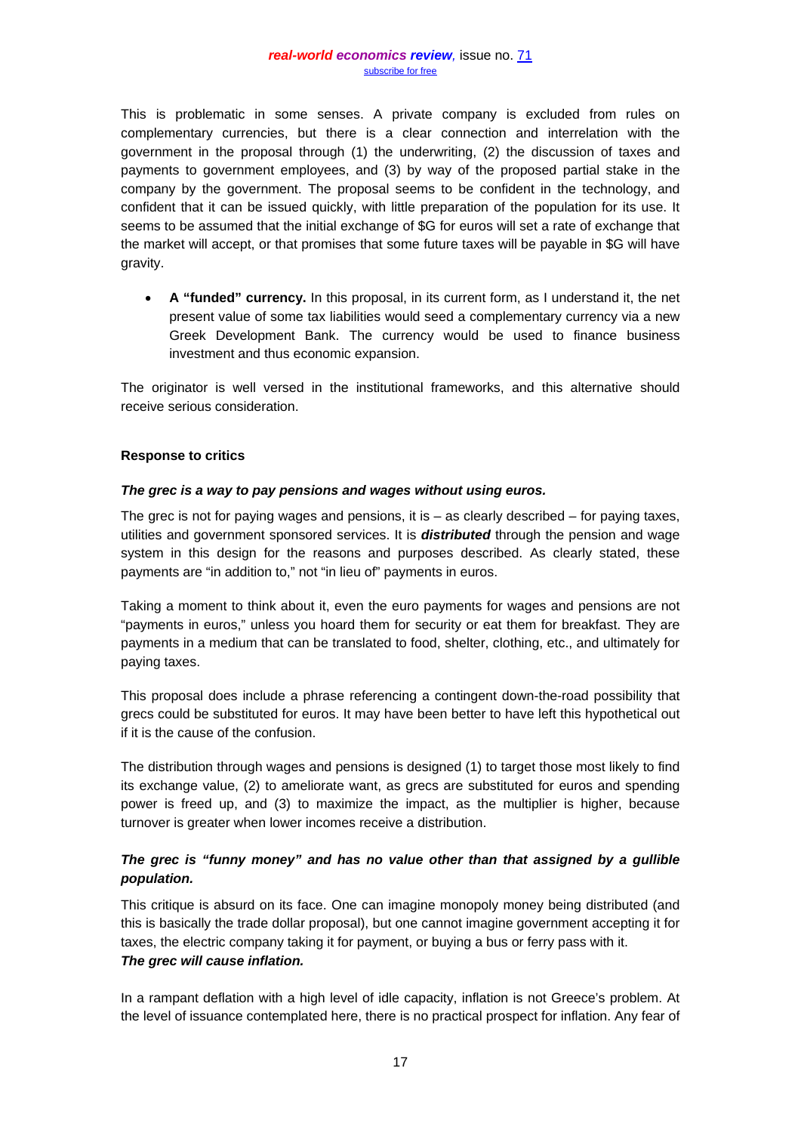This is problematic in some senses. A private company is excluded from rules on complementary currencies, but there is a clear connection and interrelation with the government in the proposal through (1) the underwriting, (2) the discussion of taxes and payments to government employees, and (3) by way of the proposed partial stake in the company by the government. The proposal seems to be confident in the technology, and confident that it can be issued quickly, with little preparation of the population for its use. It seems to be assumed that the initial exchange of \$G for euros will set a rate of exchange that the market will accept, or that promises that some future taxes will be payable in \$G will have gravity.

• **A "funded" currency.** In this proposal, in its current form, as I understand it, the net present value of some tax liabilities would seed a complementary currency via a new Greek Development Bank. The currency would be used to finance business investment and thus economic expansion.

The originator is well versed in the institutional frameworks, and this alternative should receive serious consideration.

### **Response to critics**

### *The grec is a way to pay pensions and wages without using euros.*

The grec is not for paying wages and pensions, it is  $-$  as clearly described  $-$  for paying taxes, utilities and government sponsored services. It is *distributed* through the pension and wage system in this design for the reasons and purposes described. As clearly stated, these payments are "in addition to," not "in lieu of" payments in euros.

Taking a moment to think about it, even the euro payments for wages and pensions are not "payments in euros," unless you hoard them for security or eat them for breakfast. They are payments in a medium that can be translated to food, shelter, clothing, etc., and ultimately for paying taxes.

This proposal does include a phrase referencing a contingent down-the-road possibility that grecs could be substituted for euros. It may have been better to have left this hypothetical out if it is the cause of the confusion.

The distribution through wages and pensions is designed (1) to target those most likely to find its exchange value, (2) to ameliorate want, as grecs are substituted for euros and spending power is freed up, and (3) to maximize the impact, as the multiplier is higher, because turnover is greater when lower incomes receive a distribution.

## *The grec is "funny money" and has no value other than that assigned by a gullible population.*

This critique is absurd on its face. One can imagine monopoly money being distributed (and this is basically the trade dollar proposal), but one cannot imagine government accepting it for taxes, the electric company taking it for payment, or buying a bus or ferry pass with it. *The grec will cause inflation.*

In a rampant deflation with a high level of idle capacity, inflation is not Greece's problem. At the level of issuance contemplated here, there is no practical prospect for inflation. Any fear of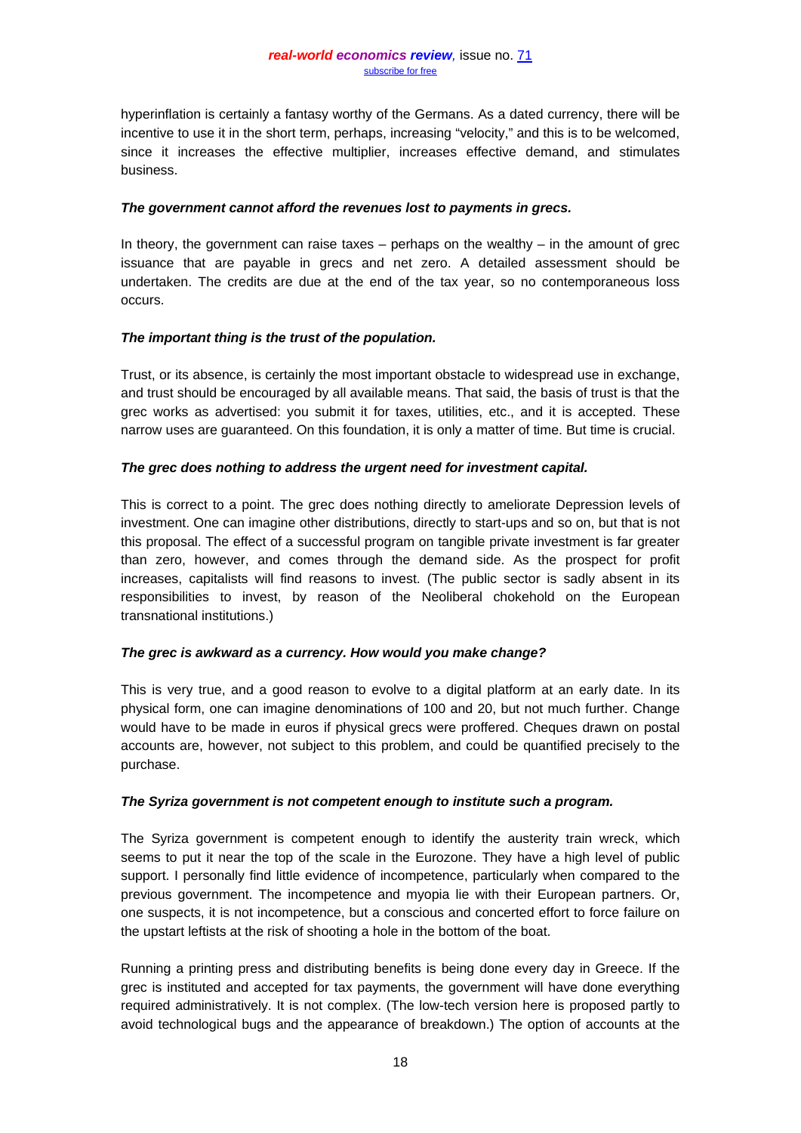hyperinflation is certainly a fantasy worthy of the Germans. As a dated currency, there will be incentive to use it in the short term, perhaps, increasing "velocity," and this is to be welcomed, since it increases the effective multiplier, increases effective demand, and stimulates business.

### *The government cannot afford the revenues lost to payments in grecs.*

In theory, the government can raise taxes  $-$  perhaps on the wealthy  $-$  in the amount of grec issuance that are payable in grecs and net zero. A detailed assessment should be undertaken. The credits are due at the end of the tax year, so no contemporaneous loss occurs.

## *The important thing is the trust of the population.*

Trust, or its absence, is certainly the most important obstacle to widespread use in exchange, and trust should be encouraged by all available means. That said, the basis of trust is that the grec works as advertised: you submit it for taxes, utilities, etc., and it is accepted. These narrow uses are guaranteed. On this foundation, it is only a matter of time. But time is crucial.

### *The grec does nothing to address the urgent need for investment capital.*

This is correct to a point. The grec does nothing directly to ameliorate Depression levels of investment. One can imagine other distributions, directly to start-ups and so on, but that is not this proposal. The effect of a successful program on tangible private investment is far greater than zero, however, and comes through the demand side. As the prospect for profit increases, capitalists will find reasons to invest. (The public sector is sadly absent in its responsibilities to invest, by reason of the Neoliberal chokehold on the European transnational institutions.)

## *The grec is awkward as a currency. How would you make change?*

This is very true, and a good reason to evolve to a digital platform at an early date. In its physical form, one can imagine denominations of 100 and 20, but not much further. Change would have to be made in euros if physical grecs were proffered. Cheques drawn on postal accounts are, however, not subject to this problem, and could be quantified precisely to the purchase.

## *The Syriza government is not competent enough to institute such a program.*

The Syriza government is competent enough to identify the austerity train wreck, which seems to put it near the top of the scale in the Eurozone. They have a high level of public support. I personally find little evidence of incompetence, particularly when compared to the previous government. The incompetence and myopia lie with their European partners. Or, one suspects, it is not incompetence, but a conscious and concerted effort to force failure on the upstart leftists at the risk of shooting a hole in the bottom of the boat.

Running a printing press and distributing benefits is being done every day in Greece. If the grec is instituted and accepted for tax payments, the government will have done everything required administratively. It is not complex. (The low-tech version here is proposed partly to avoid technological bugs and the appearance of breakdown.) The option of accounts at the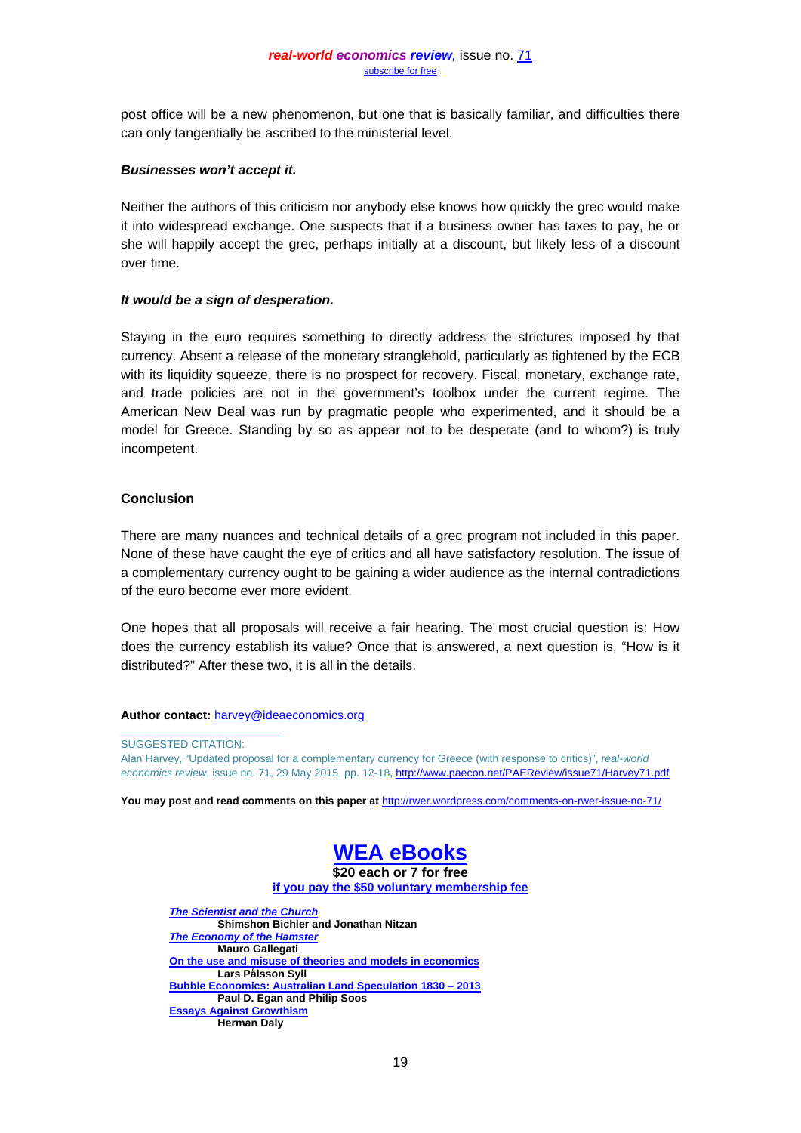post office will be a new phenomenon, but one that is basically familiar, and difficulties there can only tangentially be ascribed to the ministerial level.

#### *Businesses won't accept it.*

Neither the authors of this criticism nor anybody else knows how quickly the grec would make it into widespread exchange. One suspects that if a business owner has taxes to pay, he or she will happily accept the grec, perhaps initially at a discount, but likely less of a discount over time.

## *It would be a sign of desperation.*

Staying in the euro requires something to directly address the strictures imposed by that currency. Absent a release of the monetary stranglehold, particularly as tightened by the ECB with its liquidity squeeze, there is no prospect for recovery. Fiscal, monetary, exchange rate, and trade policies are not in the government's toolbox under the current regime. The American New Deal was run by pragmatic people who experimented, and it should be a model for Greece. Standing by so as appear not to be desperate (and to whom?) is truly incompetent.

### **Conclusion**

There are many nuances and technical details of a grec program not included in this paper. None of these have caught the eye of critics and all have satisfactory resolution. The issue of a complementary currency ought to be gaining a wider audience as the internal contradictions of the euro become ever more evident.

One hopes that all proposals will receive a fair hearing. The most crucial question is: How does the currency establish its value? Once that is answered, a next question is, "How is it distributed?" After these two, it is all in the details.

#### **Author contact:** [harvey@ideaeconomics.org](mailto:harvey@ideaeconomics.org)

SUGGESTED CITATION:

 $\frac{1}{2}$  ,  $\frac{1}{2}$  ,  $\frac{1}{2}$  ,  $\frac{1}{2}$  ,  $\frac{1}{2}$  ,  $\frac{1}{2}$  ,  $\frac{1}{2}$  ,  $\frac{1}{2}$  ,  $\frac{1}{2}$  ,  $\frac{1}{2}$  ,  $\frac{1}{2}$  ,  $\frac{1}{2}$  ,  $\frac{1}{2}$  ,  $\frac{1}{2}$  ,  $\frac{1}{2}$  ,  $\frac{1}{2}$  ,  $\frac{1}{2}$  ,  $\frac{1}{2}$  ,  $\frac{1$ 

Alan Harvey, "Updated proposal for a complementary currency for Greece (with response to critics)", *real-world economics review*, issue no. 71, 29 May 2015, pp. 12-18[, http://www.paecon.net/PAEReview/issue71/Harvey71.pdf](http://www.paecon.net/PAEReview/issue71/Harvey71.pdf)

**You may post and read comments on this paper at** <http://rwer.wordpress.com/comments-on-rwer-issue-no-71/>



**[if you pay the \\$50 voluntary membership fee](http://www.worldeconomicsassociation.org/membership/annualfees/)** 

*[The Scientist and the Church](http://www.worldeconomicsassociation.org/downloads/the-scientist-and-the-church/)* **Shimshon Bichler and Jonathan Nitzan** *[The Economy of the Hamster](http://www.worldeconomicsassociation.org/downloads/the-economy-of-the-hamster/)* **Mauro Gallegati [On the use and misuse of theories and models in economics](http://worldeconomicsassociation.us3.list-manage1.com/track/click?u=fc8acbfd9af76573d1ecc3b8a&id=ec336309c0&e=d20b84280f) Lars Pålsson Syll [Bubble Economics: Australian Land Speculation 1830 –](http://worldeconomicsassociation.us3.list-manage1.com/track/click?u=fc8acbfd9af76573d1ecc3b8a&id=549b2ca516&e=d20b84280f) 2013 Paul D. Egan and Philip Soos [Essays Against Growthism](http://worldeconomicsassociation.us3.list-manage.com/track/click?u=fc8acbfd9af76573d1ecc3b8a&id=93c04571e8&e=d20b84280f) Herman Daly**